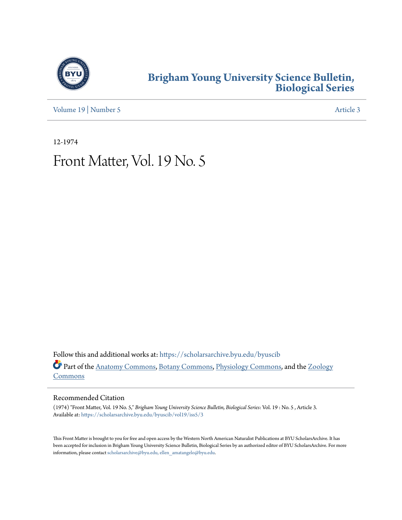

### **[Brigham Young University Science Bulletin,](https://scholarsarchive.byu.edu/byuscib?utm_source=scholarsarchive.byu.edu%2Fbyuscib%2Fvol19%2Fiss5%2F3&utm_medium=PDF&utm_campaign=PDFCoverPages) [Biological Series](https://scholarsarchive.byu.edu/byuscib?utm_source=scholarsarchive.byu.edu%2Fbyuscib%2Fvol19%2Fiss5%2F3&utm_medium=PDF&utm_campaign=PDFCoverPages)**

[Volume 19](https://scholarsarchive.byu.edu/byuscib/vol19?utm_source=scholarsarchive.byu.edu%2Fbyuscib%2Fvol19%2Fiss5%2F3&utm_medium=PDF&utm_campaign=PDFCoverPages) | [Number 5](https://scholarsarchive.byu.edu/byuscib/vol19/iss5?utm_source=scholarsarchive.byu.edu%2Fbyuscib%2Fvol19%2Fiss5%2F3&utm_medium=PDF&utm_campaign=PDFCoverPages) [Article 3](https://scholarsarchive.byu.edu/byuscib/vol19/iss5/3?utm_source=scholarsarchive.byu.edu%2Fbyuscib%2Fvol19%2Fiss5%2F3&utm_medium=PDF&utm_campaign=PDFCoverPages)

12-1974

## Front Matter, Vol. 19 No. 5

Follow this and additional works at: [https://scholarsarchive.byu.edu/byuscib](https://scholarsarchive.byu.edu/byuscib?utm_source=scholarsarchive.byu.edu%2Fbyuscib%2Fvol19%2Fiss5%2F3&utm_medium=PDF&utm_campaign=PDFCoverPages) Part of the [Anatomy Commons](http://network.bepress.com/hgg/discipline/903?utm_source=scholarsarchive.byu.edu%2Fbyuscib%2Fvol19%2Fiss5%2F3&utm_medium=PDF&utm_campaign=PDFCoverPages), [Botany Commons](http://network.bepress.com/hgg/discipline/104?utm_source=scholarsarchive.byu.edu%2Fbyuscib%2Fvol19%2Fiss5%2F3&utm_medium=PDF&utm_campaign=PDFCoverPages), [Physiology Commons,](http://network.bepress.com/hgg/discipline/69?utm_source=scholarsarchive.byu.edu%2Fbyuscib%2Fvol19%2Fiss5%2F3&utm_medium=PDF&utm_campaign=PDFCoverPages) and the [Zoology](http://network.bepress.com/hgg/discipline/81?utm_source=scholarsarchive.byu.edu%2Fbyuscib%2Fvol19%2Fiss5%2F3&utm_medium=PDF&utm_campaign=PDFCoverPages) [Commons](http://network.bepress.com/hgg/discipline/81?utm_source=scholarsarchive.byu.edu%2Fbyuscib%2Fvol19%2Fiss5%2F3&utm_medium=PDF&utm_campaign=PDFCoverPages)

#### Recommended Citation

(1974) "Front Matter, Vol. 19 No. 5," *Brigham Young University Science Bulletin, Biological Series*: Vol. 19 : No. 5 , Article 3. Available at: [https://scholarsarchive.byu.edu/byuscib/vol19/iss5/3](https://scholarsarchive.byu.edu/byuscib/vol19/iss5/3?utm_source=scholarsarchive.byu.edu%2Fbyuscib%2Fvol19%2Fiss5%2F3&utm_medium=PDF&utm_campaign=PDFCoverPages)

This Front Matter is brought to you for free and open access by the Western North American Naturalist Publications at BYU ScholarsArchive. It has been accepted for inclusion in Brigham Young University Science Bulletin, Biological Series by an authorized editor of BYU ScholarsArchive. For more information, please contact [scholarsarchive@byu.edu, ellen\\_amatangelo@byu.edu](mailto:scholarsarchive@byu.edu,%20ellen_amatangelo@byu.edu).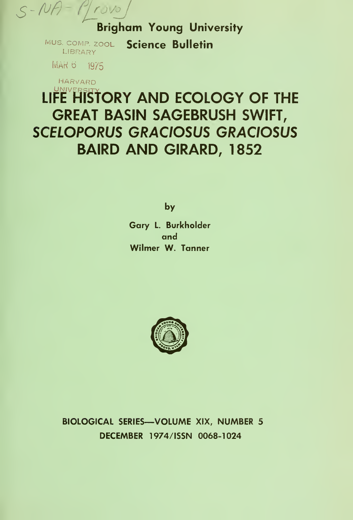$S - N H$  $1100$ 

Brigham Young University MUS. COMP. ZOOL Science Bulletin LIBRARY

MAR 6 1975

HARVARD

# LIFE HISTORY AND ECOLOGY OF THE GREAT BASIN SAGEBRUSH SWIFT, SCELOPORUS GRAC/OSUS GRAC/OSUS **BAIRD AND GIRARD, 1852**

by

Gary L. Burkholder and Wllmer W. Tanner



BIOLOGICAL SERIES—VOLUME XIX, NUMBER 5 DECEMBER 1974/ISSN 0068-1024